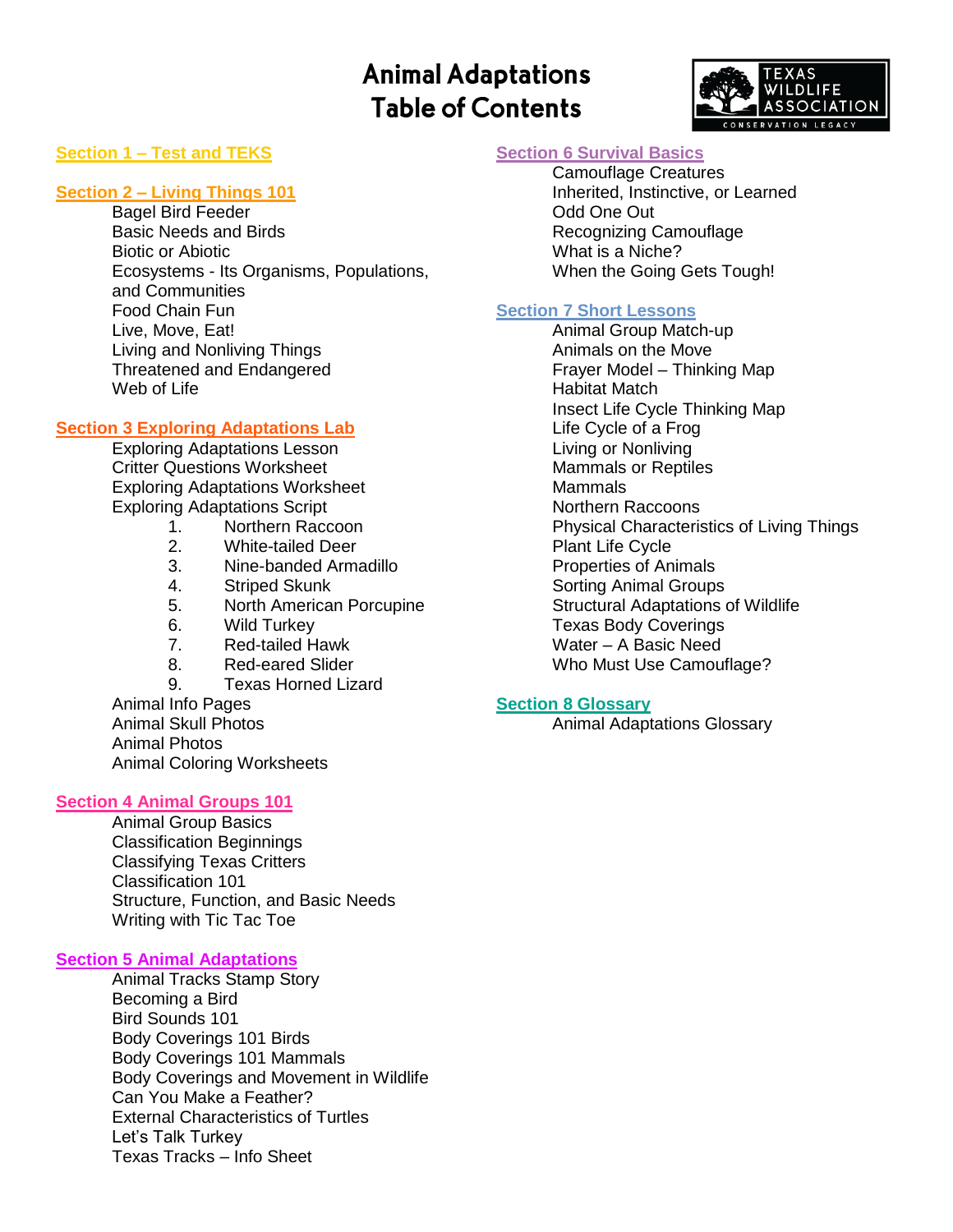# **Animal Adaptations Table of Contents**



## **Section 1 – Test and TEKS**

### **Section 2 – Living Things 101**

Bagel Bird Feeder Basic Needs and Birds Biotic or Abiotic Ecosystems - Its Organisms, Populations, and Communities Food Chain Fun Live, Move, Eat! Living and Nonliving Things Threatened and Endangered Web of Life

## **Section 3 Exploring Adaptations Lab**

Exploring Adaptations Lesson Critter Questions Worksheet Exploring Adaptations Worksheet Exploring Adaptations Script

- 1. Northern Raccoon
- 2. White-tailed Deer
- 3. Nine-banded Armadillo
- 4. Striped Skunk
- 5. North American Porcupine
- 6. Wild Turkey
- 7. Red-tailed Hawk
- 8. Red-eared Slider
- 9. Texas Horned Lizard

Animal Info Pages Animal Skull Photos Animal Photos Animal Coloring Worksheets

### **Section 4 Animal Groups 101**

Animal Group Basics Classification Beginnings Classifying Texas Critters Classification 101 Structure, Function, and Basic Needs Writing with Tic Tac Toe

#### **Section 5 Animal Adaptations**

Animal Tracks Stamp Story Becoming a Bird Bird Sounds 101 Body Coverings 101 Birds Body Coverings 101 Mammals Body Coverings and Movement in Wildlife Can You Make a Feather? External Characteristics of Turtles Let's Talk Turkey Texas Tracks – Info Sheet

## **Section 6 Survival Basics**

Camouflage Creatures Inherited, Instinctive, or Learned Odd One Out Recognizing Camouflage What is a Niche? When the Going Gets Tough!

### **Section 7 Short Lessons**

Animal Group Match-up Animals on the Move Frayer Model – Thinking Map Habitat Match Insect Life Cycle Thinking Map Life Cycle of a Frog Living or Nonliving Mammals or Reptiles Mammals Northern Raccoons Physical Characteristics of Living Things Plant Life Cycle Properties of Animals Sorting Animal Groups Structural Adaptations of Wildlife Texas Body Coverings Water – A Basic Need Who Must Use Camouflage?

### **Section 8 Glossary**

Animal Adaptations Glossary